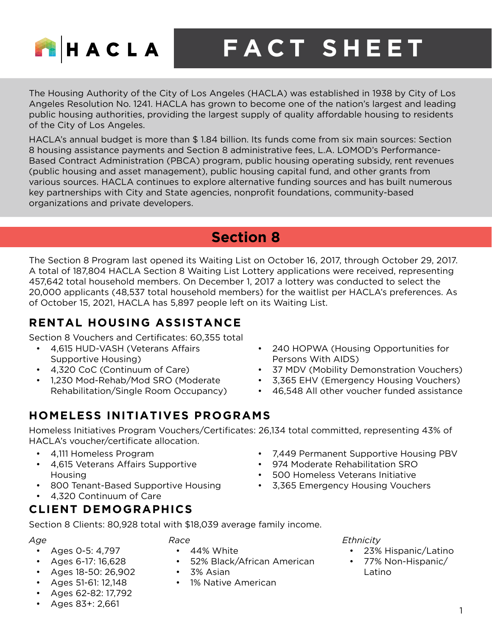

**FACT SHEET**

The Housing Authority of the City of Los Angeles (HACLA) was established in 1938 by City of Los Angeles Resolution No. 1241. HACLA has grown to become one of the nation's largest and leading public housing authorities, providing the largest supply of quality affordable housing to residents of the City of Los Angeles.

HACLA's annual budget is more than \$ 1.84 billion. Its funds come from six main sources: Section 8 housing assistance payments and Section 8 administrative fees, L.A. LOMOD's Performance-Based Contract Administration (PBCA) program, public housing operating subsidy, rent revenues (public housing and asset management), public housing capital fund, and other grants from various sources. HACLA continues to explore alternative funding sources and has built numerous key partnerships with City and State agencies, nonprofit foundations, community-based organizations and private developers.

# **Section 8**

The Section 8 Program last opened its Waiting List on October 16, 2017, through October 29, 2017. A total of 187,804 HACLA Section 8 Waiting List Lottery applications were received, representing 457,642 total household members. On December 1, 2017 a lottery was conducted to select the 20,000 applicants (48,537 total household members) for the waitlist per HACLA's preferences. As of October 15, 2021, HACLA has 5,897 people left on its Waiting List.

### **RENTAL HOUSING ASSISTANCE**

Section 8 Vouchers and Certificates: 60,355 total

- 4,615 HUD-VASH (Veterans Affairs Supportive Housing)
- 4,320 CoC (Continuum of Care)
- 1,230 Mod-Rehab/Mod SRO (Moderate Rehabilitation/Single Room Occupancy)

# **HOMELESS INITIATIVES PROGRAMS**

Homeless Initiatives Program Vouchers/Certificates: 26,134 total committed, representing 43% of HACLA's voucher/certificate allocation.

• 52% Black/African American

- 4,111 Homeless Program
- 4,615 Veterans Affairs Supportive Housing
- 800 Tenant-Based Supportive Housing
- 4,320 Continuum of Care

### **CLIENT DEMOGRAPHICS**

Section 8 Clients: 80,928 total with \$18,039 average family income.

*Race*

• 44% White

• 3% Asian

• 1% Native American

*Age*

- Ages 0-5: 4,797
- Ages 6-17: 16,628
- Ages 18-50: 26,902
- Ages 51-61: 12,148
- Ages 62-82: 17,792
- Ages 83+: 2,661
- 240 HOPWA (Housing Opportunities for Persons With AIDS)
- 37 MDV (Mobility Demonstration Vouchers)
- 3,365 EHV (Emergency Housing Vouchers)
- 46,548 All other voucher funded assistance
- 7,449 Permanent Supportive Housing PBV
- 974 Moderate Rehabilitation SRO
- 500 Homeless Veterans Initiative
- 3,365 Emergency Housing Vouchers
	- *Ethnicity*
		- 23% Hispanic/Latino
		- 77% Non-Hispanic/ Latino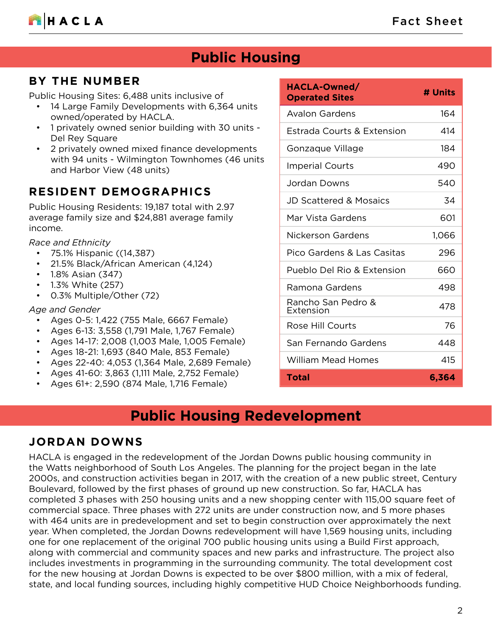

# **Public Housing**

### **BY THE NUMBER**

Public Housing Sites: 6,488 units inclusive of

- 14 Large Family Developments with 6,364 units owned/operated by HACLA.
- 1 privately owned senior building with 30 units Del Rey Square
- 2 privately owned mixed finance developments with 94 units - Wilmington Townhomes (46 units and Harbor View (48 units)

### **RESIDENT DEMOGRAPHICS**

Public Housing Residents: 19,187 total with 2.97 average family size and \$24,881 average family income.

*Race and Ethnicity*

- 75.1% Hispanic ((14,387)
- 21.5% Black/African American (4,124)
- 1.8% Asian (347)
- 1.3% White (257)
- 0.3% Multiple/Other (72)

#### *Age and Gender*

- Ages 0-5: 1,422 (755 Male, 6667 Female)
- Ages 6-13: 3,558 (1,791 Male, 1,767 Female)
- Ages 14-17: 2,008 (1,003 Male, 1,005 Female)
- Ages 18-21: 1,693 (840 Male, 853 Female)
- Ages 22-40: 4,053 (1,364 Male, 2,689 Female)
- Ages 41-60: 3,863 (1,111 Male, 2,752 Female)
- Ages 61+: 2,590 (874 Male, 1,716 Female)

| HACLA-Owned/<br><b>Operated Sites</b> | # Units |
|---------------------------------------|---------|
| <b>Avalon Gardens</b>                 | 164     |
| Estrada Courts & Extension            | 414     |
| Gonzaque Village                      | 184     |
| <b>Imperial Courts</b>                | 490     |
| Jordan Downs                          | 540     |
| <b>JD Scattered &amp; Mosaics</b>     | 34      |
| Mar Vista Gardens                     | 601     |
| Nickerson Gardens                     | 1,066   |
| Pico Gardens & Las Casitas            | 296     |
| Pueblo Del Rio & Extension            | 660     |
| Ramona Gardens                        | 498     |
| Rancho San Pedro &<br>Extension       | 478     |
| Rose Hill Courts                      | 76      |
| San Fernando Gardens                  | 448     |
| <b>William Mead Homes</b>             | 415     |
| Total                                 | 6,364   |

# **Public Housing Redevelopment**

#### **JORDAN DOWNS**

HACLA is engaged in the redevelopment of the Jordan Downs public housing community in the Watts neighborhood of South Los Angeles. The planning for the project began in the late 2000s, and construction activities began in 2017, with the creation of a new public street, Century Boulevard, followed by the first phases of ground up new construction. So far, HACLA has completed 3 phases with 250 housing units and a new shopping center with 115,00 square feet of commercial space. Three phases with 272 units are under construction now, and 5 more phases with 464 units are in predevelopment and set to begin construction over approximately the next year. When completed, the Jordan Downs redevelopment will have 1,569 housing units, including one for one replacement of the original 700 public housing units using a Build First approach, along with commercial and community spaces and new parks and infrastructure. The project also includes investments in programming in the surrounding community. The total development cost for the new housing at Jordan Downs is expected to be over \$800 million, with a mix of federal, state, and local funding sources, including highly competitive HUD Choice Neighborhoods funding.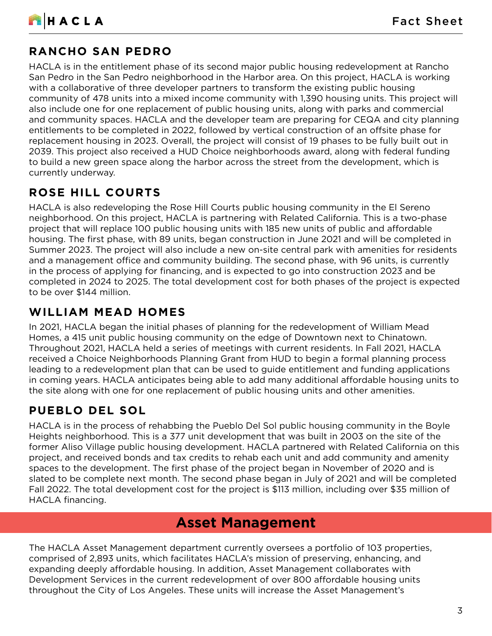

### **RANCHO SAN PEDRO**

HACLA is in the entitlement phase of its second major public housing redevelopment at Rancho San Pedro in the San Pedro neighborhood in the Harbor area. On this project, HACLA is working with a collaborative of three developer partners to transform the existing public housing community of 478 units into a mixed income community with 1,390 housing units. This project will also include one for one replacement of public housing units, along with parks and commercial and community spaces. HACLA and the developer team are preparing for CEQA and city planning entitlements to be completed in 2022, followed by vertical construction of an offsite phase for replacement housing in 2023. Overall, the project will consist of 19 phases to be fully built out in 2039. This project also received a HUD Choice neighborhoods award, along with federal funding to build a new green space along the harbor across the street from the development, which is currently underway.

### **ROSE HILL COURTS**

HACLA is also redeveloping the Rose Hill Courts public housing community in the El Sereno neighborhood. On this project, HACLA is partnering with Related California. This is a two-phase project that will replace 100 public housing units with 185 new units of public and affordable housing. The first phase, with 89 units, began construction in June 2021 and will be completed in Summer 2023. The project will also include a new on-site central park with amenities for residents and a management office and community building. The second phase, with 96 units, is currently in the process of applying for financing, and is expected to go into construction 2023 and be completed in 2024 to 2025. The total development cost for both phases of the project is expected to be over \$144 million.

### **WILLIAM MEAD HOMES**

In 2021, HACLA began the initial phases of planning for the redevelopment of William Mead Homes, a 415 unit public housing community on the edge of Downtown next to Chinatown. Throughout 2021, HACLA held a series of meetings with current residents. In Fall 2021, HACLA received a Choice Neighborhoods Planning Grant from HUD to begin a formal planning process leading to a redevelopment plan that can be used to guide entitlement and funding applications in coming years. HACLA anticipates being able to add many additional affordable housing units to the site along with one for one replacement of public housing units and other amenities.

### **PUEBLO DEL SOL**

HACLA is in the process of rehabbing the Pueblo Del Sol public housing community in the Boyle Heights neighborhood. This is a 377 unit development that was built in 2003 on the site of the former Aliso Village public housing development. HACLA partnered with Related California on this project, and received bonds and tax credits to rehab each unit and add community and amenity spaces to the development. The first phase of the project began in November of 2020 and is slated to be complete next month. The second phase began in July of 2021 and will be completed Fall 2022. The total development cost for the project is \$113 million, including over \$35 million of HACLA financing.

# **Asset Management**

The HACLA Asset Management department currently oversees a portfolio of 103 properties, comprised of 2,893 units, which facilitates HACLA's mission of preserving, enhancing, and expanding deeply affordable housing. In addition, Asset Management collaborates with Development Services in the current redevelopment of over 800 affordable housing units throughout the City of Los Angeles. These units will increase the Asset Management's